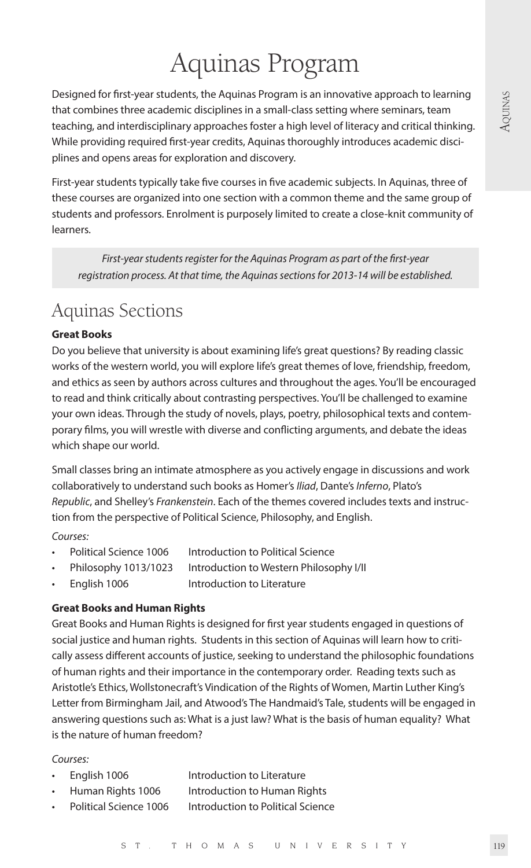# Aquinas Program

Designed for first-year students, the Aquinas Program is an innovative approach to learning that combines three academic disciplines in a small-class setting where seminars, team teaching, and interdisciplinary approaches foster a high level of literacy and critical thinking. While providing required first-year credits, Aquinas thoroughly introduces academic disciplines and opens areas for exploration and discovery.

First-year students typically take five courses in five academic subjects. In Aquinas, three of these courses are organized into one section with a common theme and the same group of students and professors. Enrolment is purposely limited to create a close-knit community of learners.

*First-year students register for the Aquinas Program as part of the first-year registration process. At that time, the Aquinas sections for 2013-14 will be established.* 

# Aquinas Sections

## **Great Books**

Do you believe that university is about examining life's great questions? By reading classic works of the western world, you will explore life's great themes of love, friendship, freedom, and ethics as seen by authors across cultures and throughout the ages. You'll be encouraged to read and think critically about contrasting perspectives. You'll be challenged to examine your own ideas. Through the study of novels, plays, poetry, philosophical texts and contemporary films, you will wrestle with diverse and conflicting arguments, and debate the ideas which shape our world.

Small classes bring an intimate atmosphere as you actively engage in discussions and work collaboratively to understand such books as Homer's *Iliad*, Dante's *Inferno*, Plato's *Republic*, and Shelley's *Frankenstein*. Each of the themes covered includes texts and instruction from the perspective of Political Science, Philosophy, and English.

*Courses:*

- Political Science 1006 Introduction to Political Science
- Philosophy 1013/1023 Introduction to Western Philosophy I/II
- English 1006 Introduction to Literature

### **Great Books and Human Rights**

Great Books and Human Rights is designed for first year students engaged in questions of social justice and human rights. Students in this section of Aquinas will learn how to critically assess different accounts of justice, seeking to understand the philosophic foundations of human rights and their importance in the contemporary order. Reading texts such as Aristotle's Ethics, Wollstonecraft's Vindication of the Rights of Women, Martin Luther King's Letter from Birmingham Jail, and Atwood's The Handmaid's Tale, students will be engaged in answering questions such as: What is a just law? What is the basis of human equality? What is the nature of human freedom?

#### *Courses:*

- English 1006 Introduction to Literature
- Human Rights 1006 Introduction to Human Rights
- Political Science 1006 Introduction to Political Science